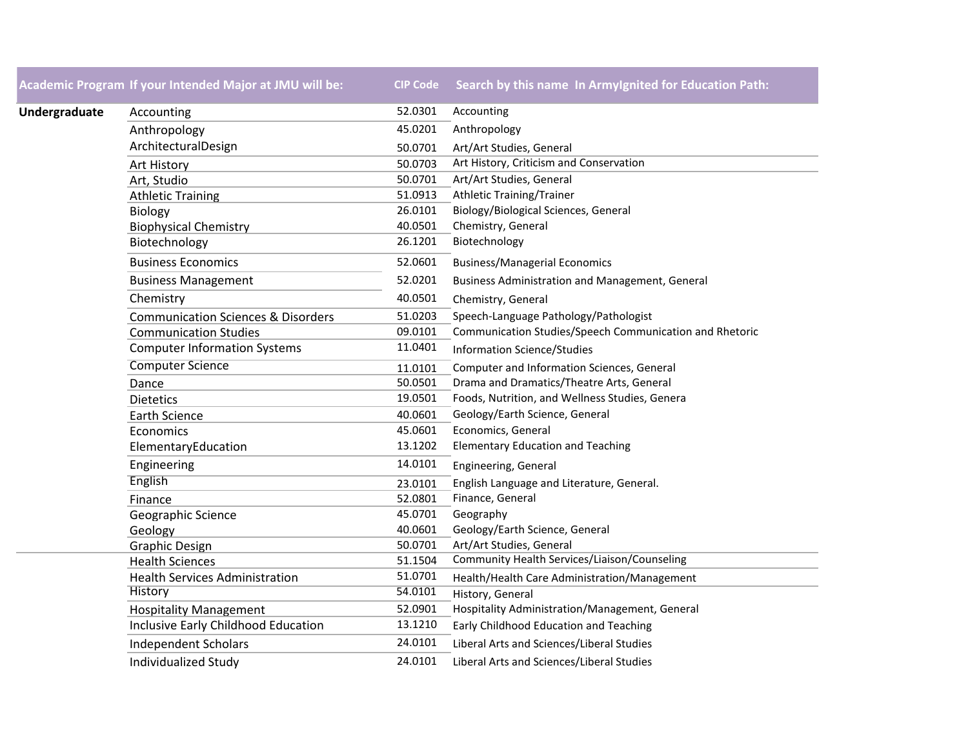**Academic Program If your Intended Major at JMU will be: CIP Code Search by this name In ArmyIgnited for Education Path:**

| Undergraduate | Accounting                                    | 52.0301 | Accounting                                              |
|---------------|-----------------------------------------------|---------|---------------------------------------------------------|
|               | Anthropology                                  | 45.0201 | Anthropology                                            |
|               | ArchitecturalDesign                           | 50.0701 | Art/Art Studies, General                                |
|               | <b>Art History</b>                            | 50.0703 | Art History, Criticism and Conservation                 |
|               | Art, Studio                                   | 50.0701 | Art/Art Studies, General                                |
|               | <b>Athletic Training</b>                      | 51.0913 | Athletic Training/Trainer                               |
|               | <b>Biology</b>                                | 26.0101 | Biology/Biological Sciences, General                    |
|               | <b>Biophysical Chemistry</b>                  | 40.0501 | Chemistry, General                                      |
|               | Biotechnology                                 | 26.1201 | Biotechnology                                           |
|               | <b>Business Economics</b>                     | 52.0601 | <b>Business/Managerial Economics</b>                    |
|               | <b>Business Management</b>                    | 52.0201 | Business Administration and Management, General         |
|               | Chemistry                                     | 40.0501 | Chemistry, General                                      |
|               | <b>Communication Sciences &amp; Disorders</b> | 51.0203 | Speech-Language Pathology/Pathologist                   |
|               | <b>Communication Studies</b>                  | 09.0101 | Communication Studies/Speech Communication and Rhetoric |
|               | <b>Computer Information Systems</b>           | 11.0401 | <b>Information Science/Studies</b>                      |
|               | <b>Computer Science</b>                       | 11.0101 | Computer and Information Sciences, General              |
|               | Dance                                         | 50.0501 | Drama and Dramatics/Theatre Arts, General               |
|               | <b>Dietetics</b>                              | 19.0501 | Foods, Nutrition, and Wellness Studies, Genera          |
|               | <b>Earth Science</b>                          | 40.0601 | Geology/Earth Science, General                          |
|               | Economics                                     | 45.0601 | Economics, General                                      |
|               | ElementaryEducation                           | 13.1202 | <b>Elementary Education and Teaching</b>                |
|               | Engineering                                   | 14.0101 | Engineering, General                                    |
|               | English                                       | 23.0101 | English Language and Literature, General.               |
|               | Finance                                       | 52.0801 | Finance, General                                        |
|               | Geographic Science                            | 45.0701 | Geography                                               |
|               | Geology                                       | 40.0601 | Geology/Earth Science, General                          |
|               | <b>Graphic Design</b>                         | 50.0701 | Art/Art Studies, General                                |
|               | <b>Health Sciences</b>                        | 51.1504 | Community Health Services/Liaison/Counseling            |
|               | <b>Health Services Administration</b>         | 51.0701 | Health/Health Care Administration/Management            |
|               | <b>History</b>                                | 54.0101 | History, General                                        |
|               | <b>Hospitality Management</b>                 | 52.0901 | Hospitality Administration/Management, General          |
|               | Inclusive Early Childhood Education           | 13.1210 | Early Childhood Education and Teaching                  |
|               | <b>Independent Scholars</b>                   | 24.0101 | Liberal Arts and Sciences/Liberal Studies               |
|               | Individualized Study                          | 24.0101 | Liberal Arts and Sciences/Liberal Studies               |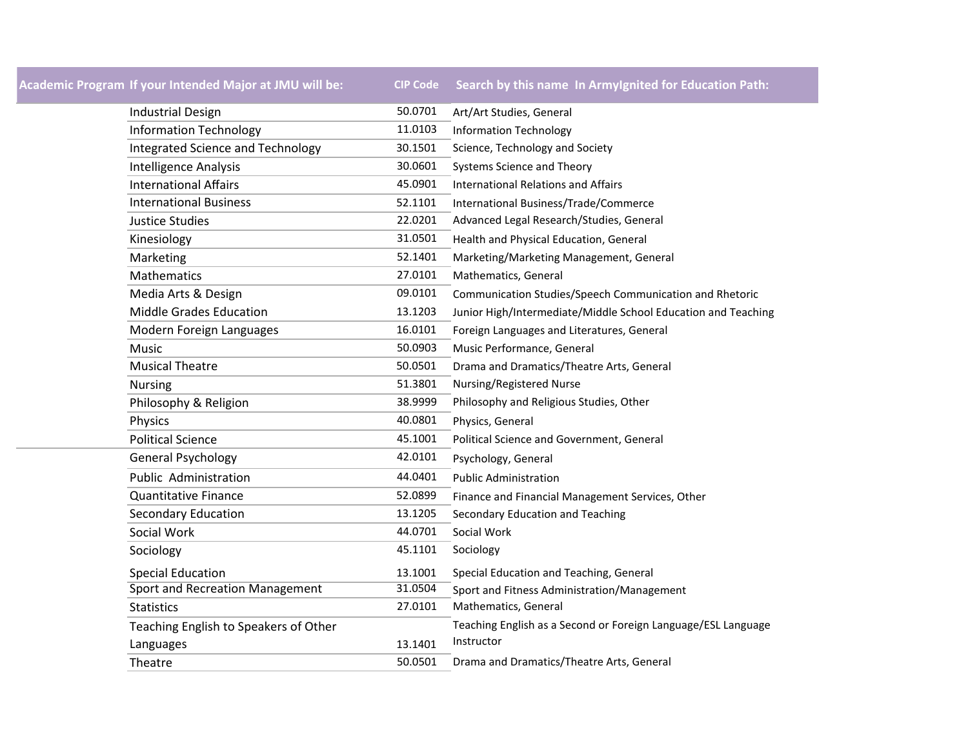# **Academic Program If your Intended Major at JMU will be: CIP Code Search by this name In ArmyIgnited for Education Path:**

| <b>Industrial Design</b>               | 50.0701 | Art/Art Studies, General                                      |  |  |
|----------------------------------------|---------|---------------------------------------------------------------|--|--|
| <b>Information Technology</b>          | 11.0103 | <b>Information Technology</b>                                 |  |  |
| Integrated Science and Technology      | 30.1501 | Science, Technology and Society                               |  |  |
| <b>Intelligence Analysis</b>           | 30.0601 | Systems Science and Theory                                    |  |  |
| <b>International Affairs</b>           | 45.0901 | <b>International Relations and Affairs</b>                    |  |  |
| <b>International Business</b>          | 52.1101 | International Business/Trade/Commerce                         |  |  |
| <b>Justice Studies</b>                 | 22.0201 | Advanced Legal Research/Studies, General                      |  |  |
| Kinesiology                            | 31.0501 | Health and Physical Education, General                        |  |  |
| Marketing                              | 52.1401 | Marketing/Marketing Management, General                       |  |  |
| <b>Mathematics</b>                     | 27.0101 | Mathematics, General                                          |  |  |
| Media Arts & Design                    | 09.0101 | Communication Studies/Speech Communication and Rhetoric       |  |  |
| <b>Middle Grades Education</b>         | 13.1203 | Junior High/Intermediate/Middle School Education and Teaching |  |  |
| Modern Foreign Languages               | 16.0101 | Foreign Languages and Literatures, General                    |  |  |
| Music                                  | 50.0903 | Music Performance, General                                    |  |  |
| <b>Musical Theatre</b>                 | 50.0501 | Drama and Dramatics/Theatre Arts, General                     |  |  |
| <b>Nursing</b>                         | 51.3801 | Nursing/Registered Nurse                                      |  |  |
| Philosophy & Religion                  | 38.9999 | Philosophy and Religious Studies, Other                       |  |  |
| Physics                                | 40.0801 | Physics, General                                              |  |  |
| <b>Political Science</b>               | 45.1001 | Political Science and Government, General                     |  |  |
| <b>General Psychology</b>              | 42.0101 | Psychology, General                                           |  |  |
| <b>Public Administration</b>           | 44.0401 | <b>Public Administration</b>                                  |  |  |
| <b>Quantitative Finance</b>            | 52.0899 | Finance and Financial Management Services, Other              |  |  |
| <b>Secondary Education</b>             | 13.1205 | Secondary Education and Teaching                              |  |  |
| Social Work                            | 44.0701 | Social Work                                                   |  |  |
| Sociology                              | 45.1101 | Sociology                                                     |  |  |
| <b>Special Education</b>               | 13.1001 | Special Education and Teaching, General                       |  |  |
| <b>Sport and Recreation Management</b> | 31.0504 | Sport and Fitness Administration/Management                   |  |  |
| <b>Statistics</b>                      | 27.0101 | Mathematics, General                                          |  |  |
| Teaching English to Speakers of Other  |         | Teaching English as a Second or Foreign Language/ESL Language |  |  |
| Languages                              | 13.1401 | Instructor                                                    |  |  |
| Theatre                                | 50.0501 | Drama and Dramatics/Theatre Arts, General                     |  |  |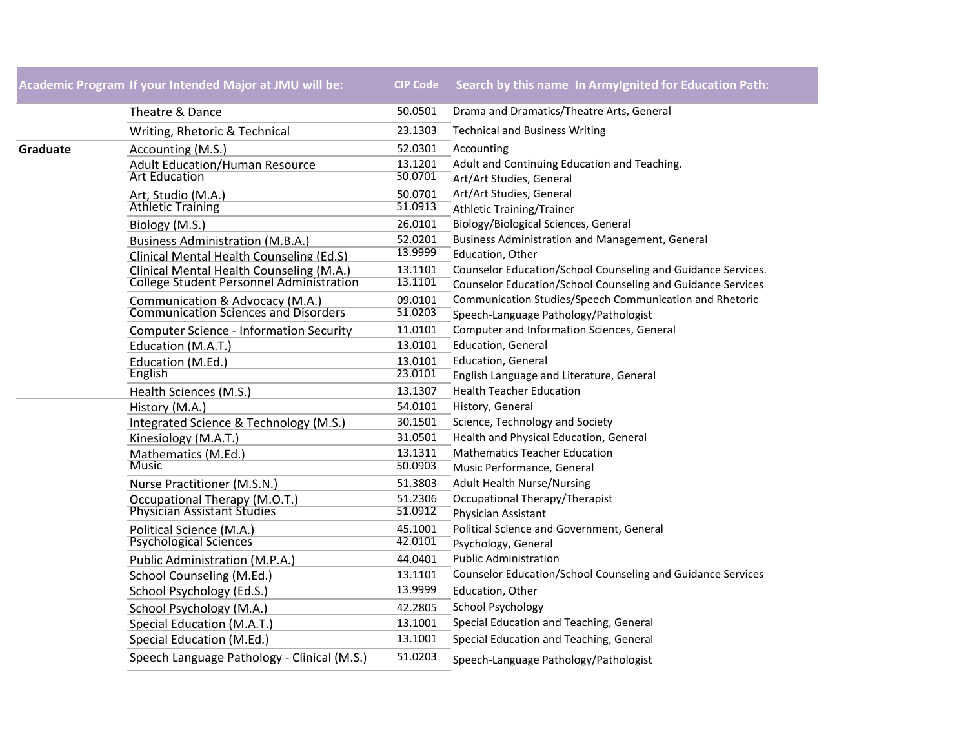## **Academic Program If your Intended Major at JMU will be: CIP Code Search by this name In ArmyIgnited for Education Path:**

|          | Theatre & Dance                                                                | 50.0501            | Drama and Dramatics/Theatre Arts, General                                   |
|----------|--------------------------------------------------------------------------------|--------------------|-----------------------------------------------------------------------------|
|          | Writing, Rhetoric & Technical                                                  | 23.1303            | <b>Technical and Business Writing</b>                                       |
| Graduate | Accounting (M.S.)                                                              | 52.0301            | Accounting                                                                  |
|          | <b>Adult Education/Human Resource</b>                                          | 13.1201            | Adult and Continuing Education and Teaching.                                |
|          | <b>Art Education</b>                                                           | 50.0701            | Art/Art Studies, General                                                    |
|          | Art, Studio (M.A.)                                                             | 50.0701            | Art/Art Studies, General                                                    |
|          | <b>Athletic Training</b>                                                       | 51.0913            | <b>Athletic Training/Trainer</b>                                            |
|          | Biology (M.S.)                                                                 | 26.0101            | Biology/Biological Sciences, General                                        |
|          | <b>Business Administration (M.B.A.)</b>                                        | 52.0201            | Business Administration and Management, General                             |
|          | Clinical Mental Health Counseling (Ed.S)                                       | 13.9999            | Education, Other                                                            |
|          | Clinical Mental Health Counseling (M.A.)                                       | 13.1101            | Counselor Education/School Counseling and Guidance Services.                |
|          | <b>College Student Personnel Administration</b>                                | 13.1101            | Counselor Education/School Counseling and Guidance Services                 |
|          | Communication & Advocacy (M.A.)<br><b>Communication Sciences and Disorders</b> | 09.0101<br>51.0203 | Communication Studies/Speech Communication and Rhetoric                     |
|          |                                                                                |                    | Speech-Language Pathology/Pathologist                                       |
|          | <b>Computer Science - Information Security</b>                                 | 11.0101            | Computer and Information Sciences, General                                  |
|          | Education (M.A.T.)                                                             | 13.0101            | <b>Education, General</b>                                                   |
|          | Education (M.Ed.)<br>English                                                   | 13.0101<br>23.0101 | <b>Education, General</b>                                                   |
|          |                                                                                | 13.1307            | English Language and Literature, General<br><b>Health Teacher Education</b> |
|          | Health Sciences (M.S.)                                                         |                    |                                                                             |
|          | History (M.A.)                                                                 | 54.0101<br>30.1501 | History, General<br>Science, Technology and Society                         |
|          | Integrated Science & Technology (M.S.)                                         | 31.0501            | Health and Physical Education, General                                      |
|          | Kinesiology (M.A.T.)                                                           | 13.1311            | <b>Mathematics Teacher Education</b>                                        |
|          | Mathematics (M.Ed.)<br><b>Music</b>                                            | 50.0903            | Music Performance, General                                                  |
|          | Nurse Practitioner (M.S.N.)                                                    | 51.3803            | <b>Adult Health Nurse/Nursing</b>                                           |
|          | Occupational Therapy (M.O.T.)                                                  | 51.2306            | Occupational Therapy/Therapist                                              |
|          | <b>Physician Assistant Studies</b>                                             | 51.0912            | Physician Assistant                                                         |
|          | Political Science (M.A.)                                                       | 45.1001            | Political Science and Government, General                                   |
|          | <b>Psychological Sciences</b>                                                  | 42.0101            | Psychology, General                                                         |
|          | Public Administration (M.P.A.)                                                 | 44.0401            | <b>Public Administration</b>                                                |
|          | School Counseling (M.Ed.)                                                      | 13.1101            | Counselor Education/School Counseling and Guidance Services                 |
|          | School Psychology (Ed.S.)                                                      | 13.9999            | Education, Other                                                            |
|          | School Psychology (M.A.)                                                       | 42.2805            | School Psychology                                                           |
|          | Special Education (M.A.T.)                                                     | 13.1001            | Special Education and Teaching, General                                     |
|          | Special Education (M.Ed.)                                                      | 13.1001            | Special Education and Teaching, General                                     |
|          | Speech Language Pathology - Clinical (M.S.)                                    | 51.0203            | Speech-Language Pathology/Pathologist                                       |